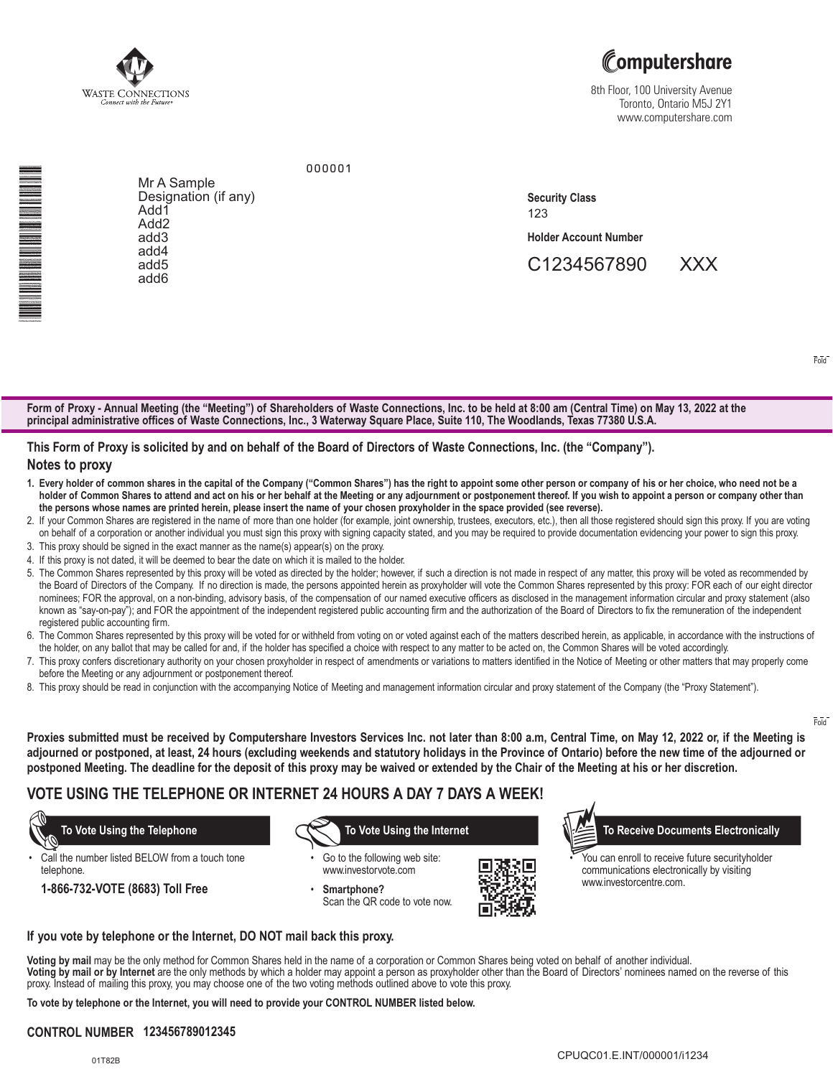



8th Floor, 100 University Avenue Toronto, Ontario M5J 2Y1 www.computershare.com

<u>Mark and Mark and Mark and Mark and Mark and</u>

Mr A Sample Designation (if any) Add1 Add2 add3 add4 add5 add6

123 **Security Class**

**Holder Account Number** 

C1234567890 XXX

Fold

Fold

**Form of Proxy - Annual Meeting (the "Meeting") of Shareholders of Waste Connections, Inc. to be held at 8:00 am (Central Time) on May 13, 2022 at the principal administrative offices of Waste Connections, Inc., 3 Waterway Square Place, Suite 110, The Woodlands, Texas 77380 U.S.A.**

## **This Form of Proxy is solicited by and on behalf of the Board of Directors of Waste Connections, Inc. (the "Company").**

000001

#### **Notes to proxy**

- **1. Every holder of common shares in the capital of the Company ("Common Shares") has the right to appoint some other person or company of his or her choice, who need not be a holder of Common Shares to attend and act on his or her behalf at the Meeting or any adjournment or postponement thereof. If you wish to appoint a person or company other than the persons whose names are printed herein, please insert the name of your chosen proxyholder in the space provided (see reverse).**
- 2. If your Common Shares are registered in the name of more than one holder (for example, joint ownership, trustees, executors, etc.), then all those registered should sign this proxy. If you are voting on behalf of a corporation or another individual you must sign this proxy with signing capacity stated, and you may be required to provide documentation evidencing your power to sign this proxy.
- 3. This proxy should be signed in the exact manner as the name(s) appear(s) on the proxy.
- 4. If this proxy is not dated, it will be deemed to bear the date on which it is mailed to the holder.
- 5.The Common Shares represented by this proxy will be voted as directed by the holder; however, if such a direction is not made in respect of any matter, this proxy will be voted as recommended by the Board of Directors of the Company. If no direction is made, the persons appointed herein as proxyholder will vote the Common Shares represented by this proxy: FOR each of our eight director nominees; FOR the approval, on a non-binding, advisory basis, of the compensation of our named executive officers as disclosed in the management information circular and proxy statement (also known as "say-on-pay"); and FOR the appointment of the independent registered public accounting firm and the authorization of the Board of Directors to fix the remuneration of the independent registered public accounting firm.
- 6. The Common Shares represented by this proxy will be voted for or withheld from voting on or voted against each of the matters described herein, as applicable, in accordance with the instructions of the holder, on any ballot that may be called for and, if the holder has specified a choice with respect to any matter to be acted on, the Common Shares will be voted accordingly.
- 7. This proxy confers discretionary authority on your chosen proxyholder in respect of amendments or variations to matters identified in the Notice of Meeting or other matters that may properly come before the Meeting or any adjournment or postponement thereof.
- 8. This proxy should be read in conjunction with the accompanying Notice of Meeting and management information circular and proxy statement of the Company (the "Proxy Statement").

**Proxies submitted must be received by Computershare Investors Services Inc. not later than 8:00 a.m, Central Time, on May 12, 2022 or, if the Meeting is adjourned or postponed, at least, 24 hours (excluding weekends and statutory holidays in the Province of Ontario) before the new time of the adjourned or postponed Meeting. The deadline for the deposit of this proxy may be waived or extended by the Chair of the Meeting at his or her discretion.**

## **VOTE USING THE TELEPHONE OR INTERNET 24 HOURS A DAY 7 DAYS A WEEK!**

Call the number listed BELOW from a touch tone telephone.

**1-866-732-VOTE (8683) Toll Free**

 **To Vote Using the Telephone To Vote Using the Internet To Receive Documents Electronically**

Go to the following web site: www.investorvote.com

• **Smartphone?** Scan the QR code to vote now.



You can enroll to receive future securityholder communications electronically by visiting www.investorcentre.com.

**If you vote by telephone or the Internet, DO NOT mail back this proxy.**

**Voting by mail** may be the only method for Common Shares held in the name of a corporation or Common Shares being voted on behalf of another individual. **Voting by mail or by Internet** are the only methods by which a holder may appoint a person as proxyholder other than the Board of Directors' nominees named on the reverse of this proxy. Instead of mailing this proxy, you may choose one of the two voting methods outlined above to vote this proxy.

**To vote by telephone or the Internet, you will need to provide your CONTROL NUMBER listed below.**

### **CONTROL NUMBER 123456789012345**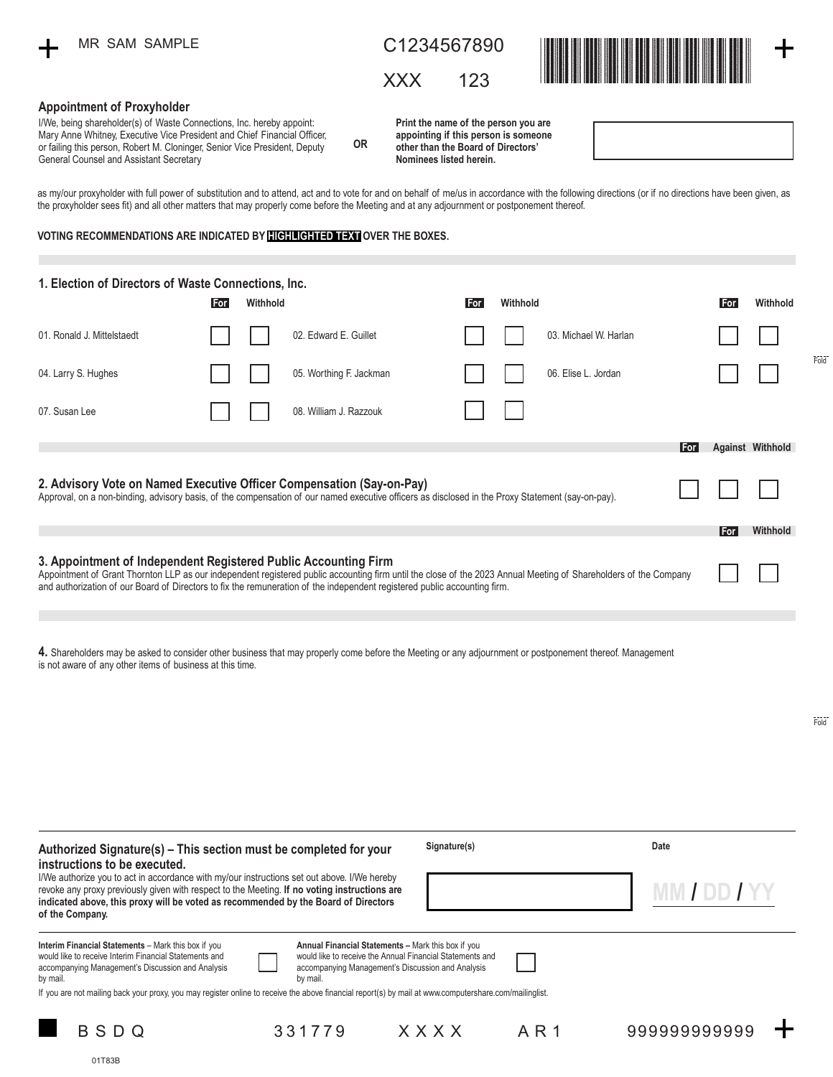# C1234567890

XXX 123



Fold

Fold

╺┾╸

#### **Appointment of Proxyholder**

| I/We, being shareholder(s) of Waste Connections, Inc. hereby appoint:<br>Mary Anne Whitney, Executive Vice President and Chief Financial Officer,<br>or failing this person, Robert M. Cloninger, Senior Vice President, Deputy<br>General Counsel and Assistant Secretary                                                                        | 0R | Print the name of the person you are<br>appointing if this person is someone<br>other than the Board of Directors'<br>Nominees listed herein. |  |            |          |  |  |
|---------------------------------------------------------------------------------------------------------------------------------------------------------------------------------------------------------------------------------------------------------------------------------------------------------------------------------------------------|----|-----------------------------------------------------------------------------------------------------------------------------------------------|--|------------|----------|--|--|
| as my/our proxyholder with full power of substitution and to attend, act and to vote for and on behalf of me/us in accordance with the following directions (or if no directions have been given, as<br>the proxyholder sees fit) and all other matters that may properly come before the Meeting and at any adjournment or postponement thereof. |    |                                                                                                                                               |  |            |          |  |  |
| VOTING RECOMMENDATIONS ARE INDICATED BY <b>HELLIGHTED TEXT</b> OVER THE BOXES.                                                                                                                                                                                                                                                                    |    |                                                                                                                                               |  |            |          |  |  |
|                                                                                                                                                                                                                                                                                                                                                   |    |                                                                                                                                               |  |            |          |  |  |
| 1. Election of Directors of Waste Connections, Inc.<br>Withhold<br>For                                                                                                                                                                                                                                                                            |    | Withhold<br>For                                                                                                                               |  | <b>For</b> | Withhold |  |  |

01. Ronald J. Mittelstaedt 04. Larry S. Hughes 02. Edward E. Guillet **For Withhold** 05. Worthing F. Jackman 08. William J. Razzouk 03. Michael W. Harlan **For Withhold** 06. Elise L. Jordan 07. Susan Lee **3. Appointment of Independent Registered Public Accounting Firm** Appointment of Grant Thornton LLP as our independent registered public accounting firm until the close of the 2023 Annual Meeting of Shareholders of the Company and authorization of our Board of Directors to fix the remuneration of the independent registered public accounting firm. **For 2. Advisory Vote on Named Executive Officer Compensation (Say-on-Pay)** Approval, on a non-binding, advisory basis, of the compensation of our named executive officers as disclosed in the Proxy Statement (say-on-pay). **Against Withhold For Withhold**

**4.** Shareholders may be asked to consider other business that may properly come before the Meeting or any adjournment or postponement thereof. Management is not aware of any other items of business at this time.

331779

| Authorized Signature(s) – This section must be completed for your<br>instructions to be executed.                                                                                                                                                                                                                                                                                                                                                                                                                            | Signature(s) | Date     |  |  |
|------------------------------------------------------------------------------------------------------------------------------------------------------------------------------------------------------------------------------------------------------------------------------------------------------------------------------------------------------------------------------------------------------------------------------------------------------------------------------------------------------------------------------|--------------|----------|--|--|
| I/We authorize you to act in accordance with my/our instructions set out above. I/We hereby<br>revoke any proxy previously given with respect to the Meeting. If no voting instructions are<br>indicated above, this proxy will be voted as recommended by the Board of Directors<br>of the Company.                                                                                                                                                                                                                         |              | MM/DD/YY |  |  |
| Interim Financial Statements - Mark this box if you<br>Annual Financial Statements - Mark this box if you<br>would like to receive the Annual Financial Statements and<br>would like to receive Interim Financial Statements and<br>accompanying Management's Discussion and Analysis<br>accompanying Management's Discussion and Analysis<br>by mail.<br>by mail.<br>If you are not mailing back your proxy, you may register online to receive the above financial report(s) by mail at www.computershare.com/mailinglist. |              |          |  |  |

AR<sub>1</sub>

BSDQ 331779 XXXX AR1 9999999999999

01T83B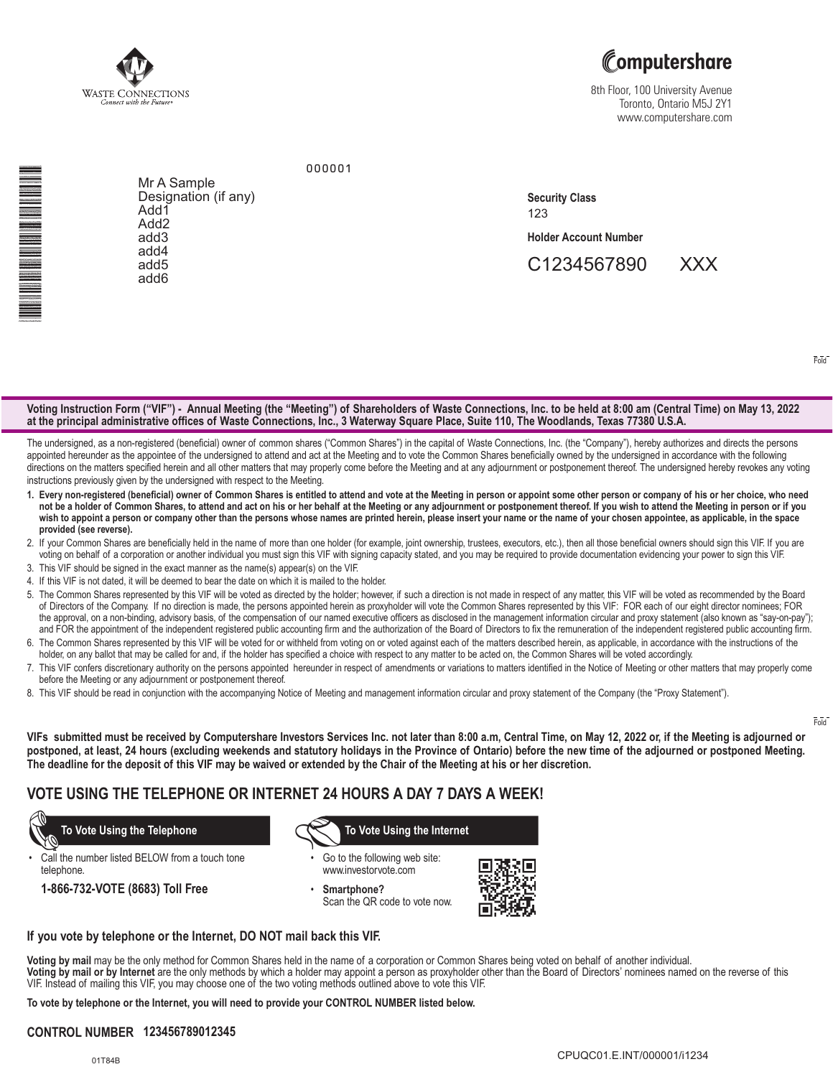

# Computershare

8th Floor, 100 University Avenue Toronto, Ontario M5J 2Y1 www.computershare.com

<u>Mark and Mark and Mark and Mark and Mark and Mark and Mark and Mark and Mark and Mark and Mark and Mark and</u>

Mr A Sample Designation (if any) Add1 Add2 add3 add4 add5 add6

123 **Security Class**

**Holder Account Number** 

C1234567890 XXX

Fold

#### **Voting Instruction Form ("VIF") - Annual Meeting (the "Meeting") of Shareholders of Waste Connections, Inc. to be held at 8:00 am (Central Time) on May 13, 2022 at the principal administrative offices of Waste Connections, Inc., 3 Waterway Square Place, Suite 110, The Woodlands, Texas 77380 U.S.A.**

000001

The undersigned, as a non-registered (beneficial) owner of common shares ("Common Shares") in the capital of Waste Connections, Inc. (the "Company"), hereby authorizes and directs the persons appointed hereunder as the appointee of the undersigned to attend and act at the Meeting and to vote the Common Shares beneficially owned by the undersigned in accordance with the following directions on the matters specified herein and all other matters that may properly come before the Meeting and at any adjournment or postponement thereof. The undersigned hereby revokes any voting instructions previously given by the undersigned with respect to the Meeting.

- **1. Every non-registered (beneficial) owner of Common Shares is entitled to attend and vote at the Meeting in person or appoint some other person or company of his or her choice, who need not be a holder of Common Shares, to attend and act on his or her behalf at the Meeting or any adjournment or postponement thereof. If you wish to attend the Meeting in person or if you wish to appoint a person or company other than the persons whose names are printed herein, please insert your name or the name of your chosen appointee, as applicable, in the space provided (see reverse).**
- 2. If your Common Shares are beneficially held in the name of more than one holder (for example, joint ownership, trustees, executors, etc.), then all those beneficial owners should sign this VIF. If you are voting on behalf of a corporation or another individual you must sign this VIF with signing capacity stated, and you may be required to provide documentation evidencing your power to sign this VIF.
- 3. This VIF should be signed in the exact manner as the name(s) appear(s) on the VIF.
- 4. If this VIF is not dated, it will be deemed to bear the date on which it is mailed to the holder.
- 5.The Common Shares represented by this VIF will be voted as directed by the holder; however, if such a direction is not made in respect of any matter, this VIF will be voted as recommended by the Board of Directors of the Company. If no direction is made, the persons appointed herein as proxyholder will vote the Common Shares represented by this VIF: FOR each of our eight director nominees; FOR the approval, on a non-binding, advisory basis, of the compensation of our named executive officers as disclosed in the management information circular and proxy statement (also known as "say-on-pay"); and FOR the appointment of the independent registered public accounting firm and the authorization of the Board of Directors to fix the remuneration of the independent registered public accounting firm.
- 6. The Common Shares represented by this VIF will be voted for or withheld from voting on or voted against each of the matters described herein, as applicable, in accordance with the instructions of the holder, on any ballot that may be called for and, if the holder has specified a choice with respect to any matter to be acted on, the Common Shares will be voted accordingly.
- 7. This VIF confers discretionary authority on the persons appointed hereunder in respect of amendments or variations to matters identified in the Notice of Meeting or other matters that may properly come before the Meeting or any adjournment or postponement thereof.
- 8. This VIF should be read in conjunction with the accompanying Notice of Meeting and management information circular and proxy statement of the Company (the "Proxy Statement").

Fold

**VIFs submitted must be received by Computershare Investors Services Inc. not later than 8:00 a.m, Central Time, on May 12, 2022 or, if the Meeting is adjourned or postponed, at least, 24 hours (excluding weekends and statutory holidays in the Province of Ontario) before the new time of the adjourned or postponed Meeting. The deadline for the deposit of this VIF may be waived or extended by the Chair of the Meeting at his or her discretion.**

## **VOTE USING THE TELEPHONE OR INTERNET 24 HOURS A DAY 7 DAYS A WEEK!**

Call the number listed BELOW from a touch tone telephone.

**1-866-732-VOTE (8683) Toll Free**

 **To Vote Using the Telephone To Vote Using the Internet**

- Go to the following web site: www.investorvote.com
- **Smartphone?** Scan the QR code to vote now.



#### **If you vote by telephone or the Internet, DO NOT mail back this VIF.**

**Voting by mail** may be the only method for Common Shares held in the name of a corporation or Common Shares being voted on behalf of another individual. **Voting by mail or by Internet** are the only methods by which a holder may appoint a person as proxyholder other than the Board of Directors' nominees named on the reverse of this VIF. Instead of mailing this VIF, you may choose one of the two voting methods outlined above to vote this VIF.

**To vote by telephone or the Internet, you will need to provide your CONTROL NUMBER listed below.**

## **CONTROL NUMBER 123456789012345**